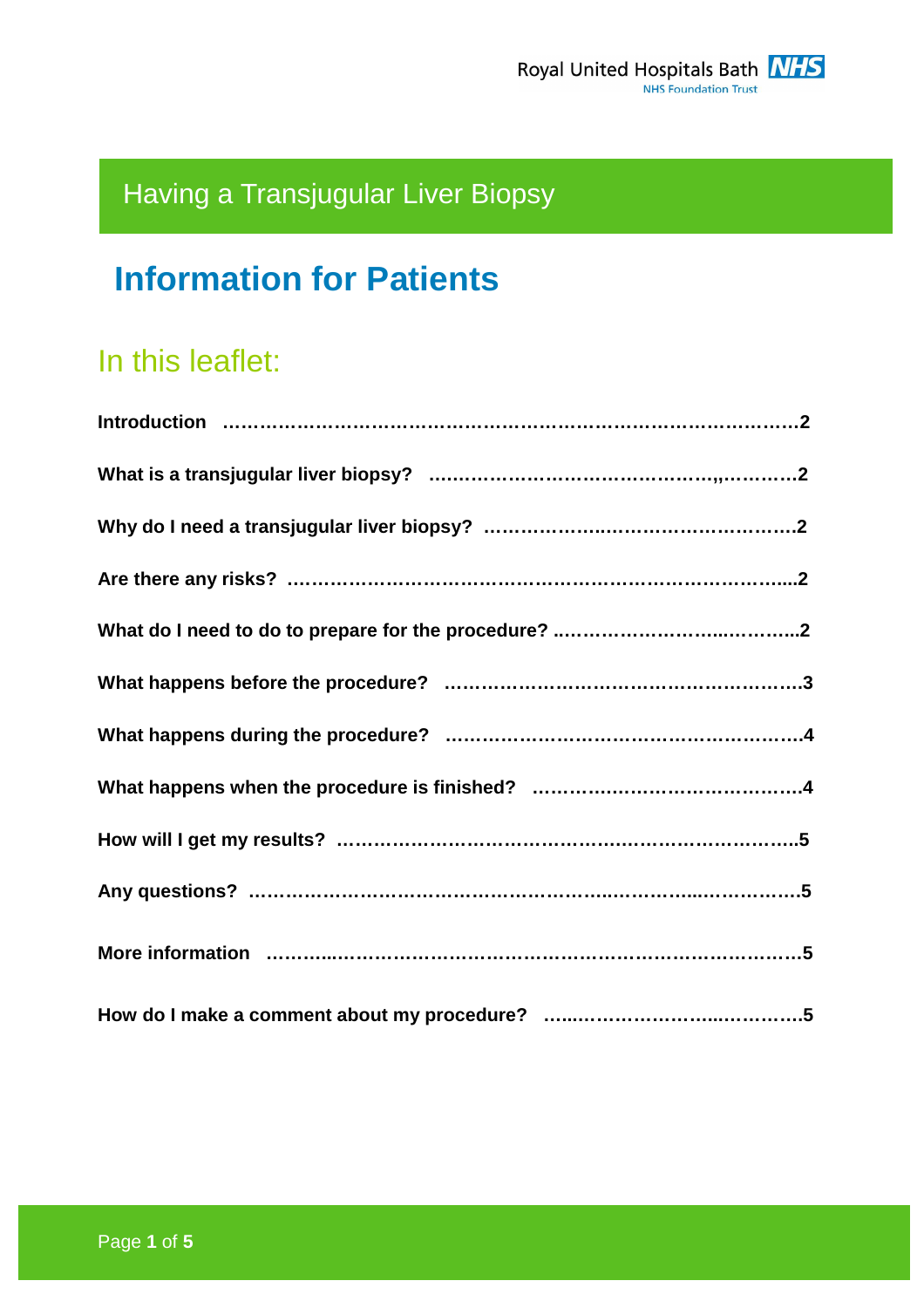# Having a Transjugular Liver Biopsy

# **Information for Patients**

# In this leaflet: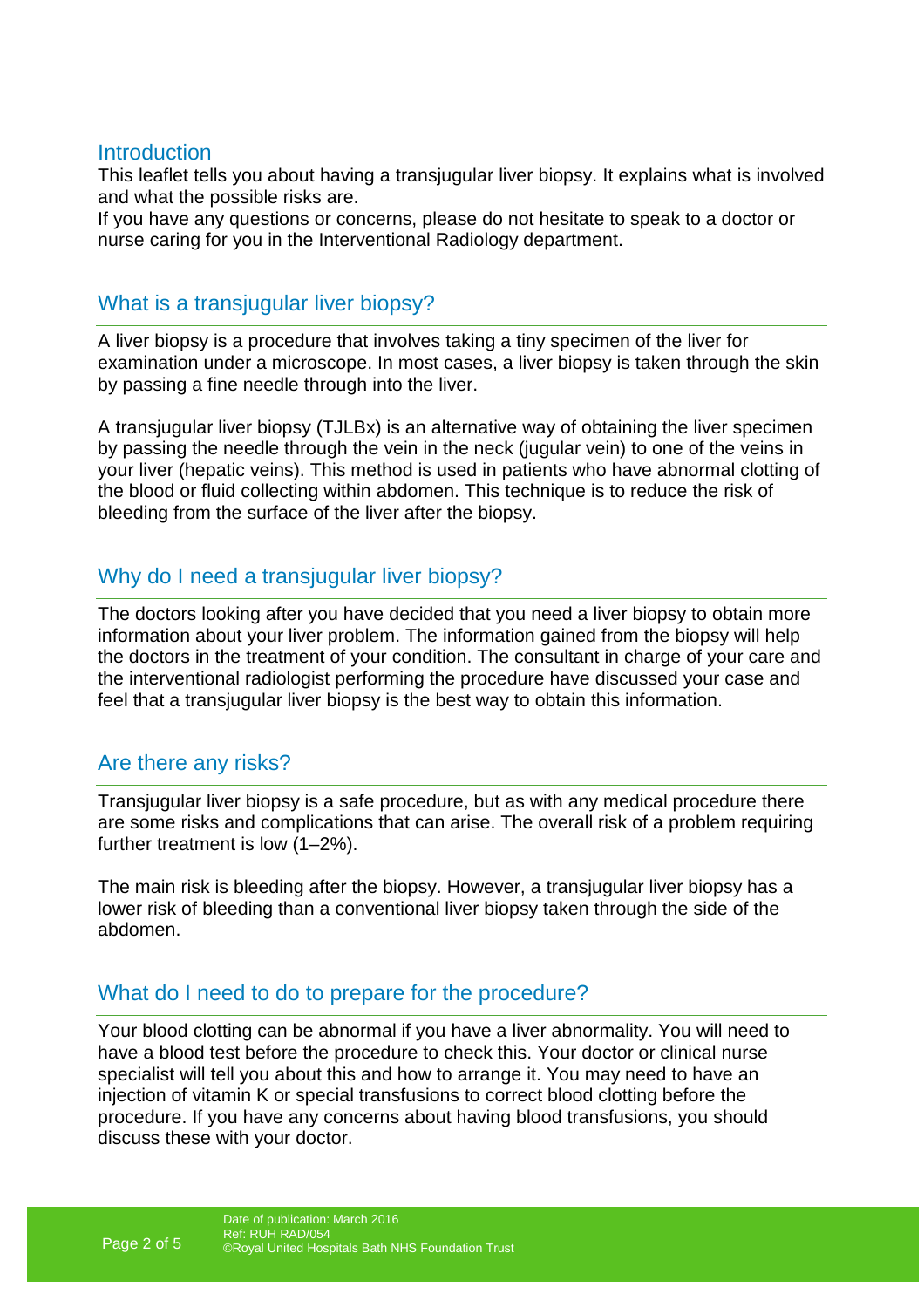#### **Introduction**

This leaflet tells you about having a transjugular liver biopsy. It explains what is involved and what the possible risks are.

If you have any questions or concerns, please do not hesitate to speak to a doctor or nurse caring for you in the Interventional Radiology department.

## What is a transjugular liver biopsy?

A liver biopsy is a procedure that involves taking a tiny specimen of the liver for examination under a microscope. In most cases, a liver biopsy is taken through the skin by passing a fine needle through into the liver.

A transjugular liver biopsy (TJLBx) is an alternative way of obtaining the liver specimen by passing the needle through the vein in the neck (jugular vein) to one of the veins in your liver (hepatic veins). This method is used in patients who have abnormal clotting of the blood or fluid collecting within abdomen. This technique is to reduce the risk of bleeding from the surface of the liver after the biopsy.

# Why do I need a transjugular liver biopsy?

The doctors looking after you have decided that you need a liver biopsy to obtain more information about your liver problem. The information gained from the biopsy will help the doctors in the treatment of your condition. The consultant in charge of your care and the interventional radiologist performing the procedure have discussed your case and feel that a transjugular liver biopsy is the best way to obtain this information.

## Are there any risks?

Transjugular liver biopsy is a safe procedure, but as with any medical procedure there are some risks and complications that can arise. The overall risk of a problem requiring further treatment is low (1–2%).

The main risk is bleeding after the biopsy. However, a transjugular liver biopsy has a lower risk of bleeding than a conventional liver biopsy taken through the side of the abdomen.

## What do I need to do to prepare for the procedure?

Your blood clotting can be abnormal if you have a liver abnormality. You will need to have a blood test before the procedure to check this. Your doctor or clinical nurse specialist will tell you about this and how to arrange it. You may need to have an injection of vitamin K or special transfusions to correct blood clotting before the procedure. If you have any concerns about having blood transfusions, you should discuss these with your doctor.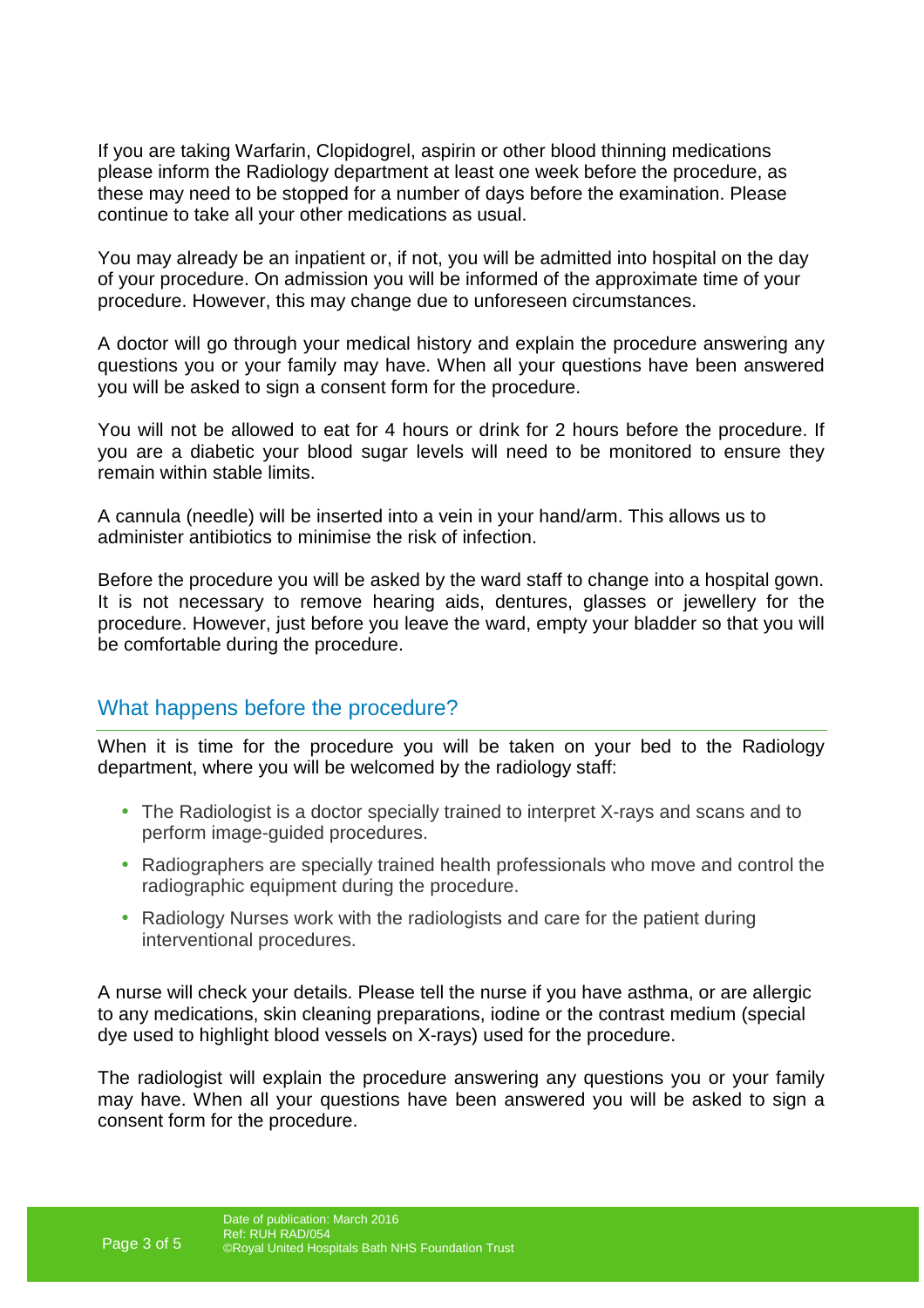If you are taking Warfarin, Clopidogrel, aspirin or other blood thinning medications please inform the Radiology department at least one week before the procedure, as these may need to be stopped for a number of days before the examination. Please continue to take all your other medications as usual.

You may already be an inpatient or, if not, you will be admitted into hospital on the day of your procedure. On admission you will be informed of the approximate time of your procedure. However, this may change due to unforeseen circumstances.

A doctor will go through your medical history and explain the procedure answering any questions you or your family may have. When all your questions have been answered you will be asked to sign a consent form for the procedure.

You will not be allowed to eat for 4 hours or drink for 2 hours before the procedure. If you are a diabetic your blood sugar levels will need to be monitored to ensure they remain within stable limits.

A cannula (needle) will be inserted into a vein in your hand/arm. This allows us to administer antibiotics to minimise the risk of infection.

Before the procedure you will be asked by the ward staff to change into a hospital gown. It is not necessary to remove hearing aids, dentures, glasses or jewellery for the procedure. However, just before you leave the ward, empty your bladder so that you will be comfortable during the procedure.

#### What happens before the procedure?

When it is time for the procedure you will be taken on your bed to the Radiology department, where you will be welcomed by the radiology staff:

- The Radiologist is a doctor specially trained to interpret X-rays and scans and to perform image-guided procedures.
- Radiographers are specially trained health professionals who move and control the radiographic equipment during the procedure.
- Radiology Nurses work with the radiologists and care for the patient during interventional procedures.

A nurse will check your details. Please tell the nurse if you have asthma, or are allergic to any medications, skin cleaning preparations, iodine or the contrast medium (special dye used to highlight blood vessels on X-rays) used for the procedure.

The radiologist will explain the procedure answering any questions you or your family may have. When all your questions have been answered you will be asked to sign a consent form for the procedure.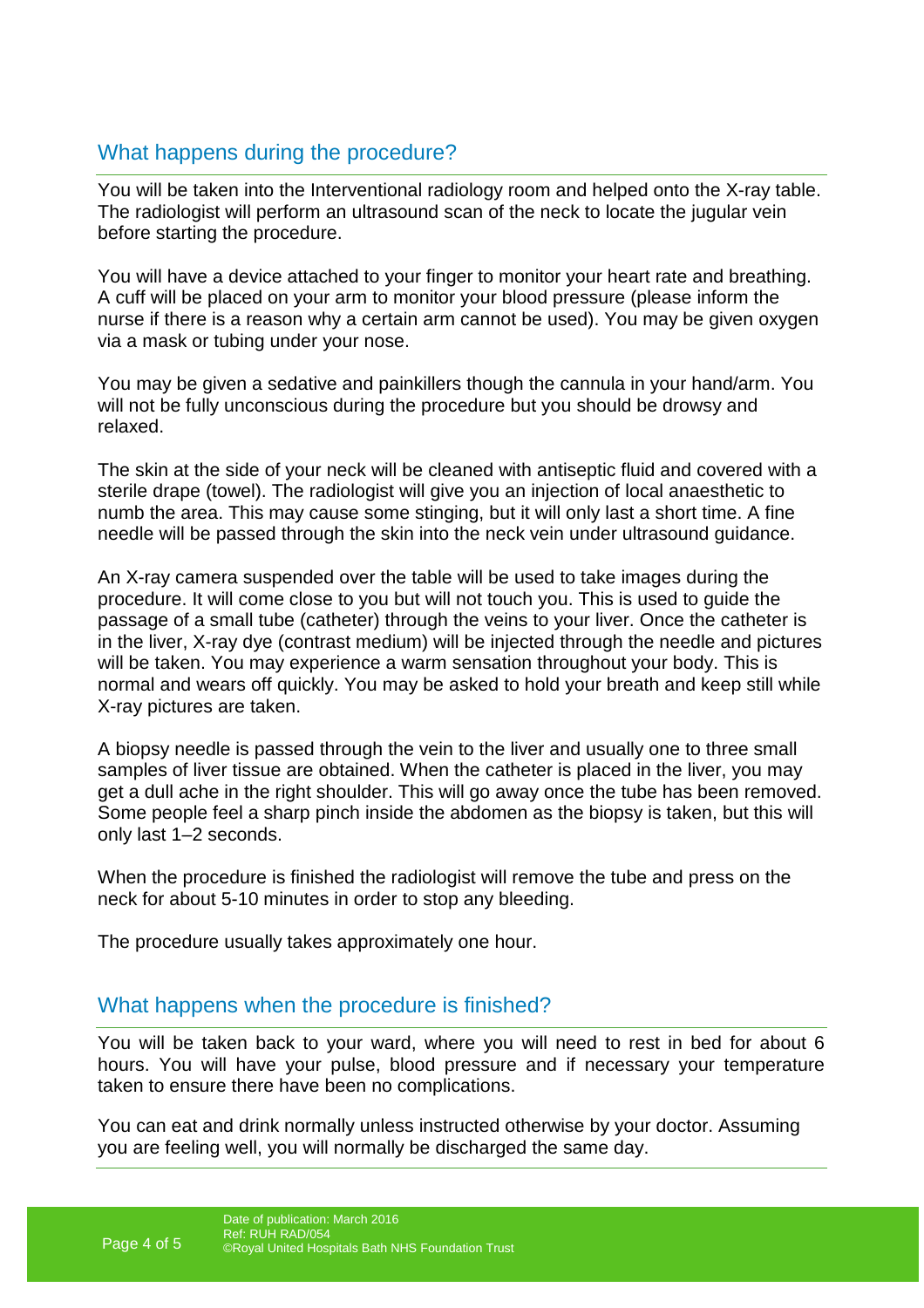# What happens during the procedure?

You will be taken into the Interventional radiology room and helped onto the X-ray table. The radiologist will perform an ultrasound scan of the neck to locate the jugular vein before starting the procedure.

You will have a device attached to your finger to monitor your heart rate and breathing. A cuff will be placed on your arm to monitor your blood pressure (please inform the nurse if there is a reason why a certain arm cannot be used). You may be given oxygen via a mask or tubing under your nose.

You may be given a sedative and painkillers though the cannula in your hand/arm. You will not be fully unconscious during the procedure but you should be drowsy and relaxed.

The skin at the side of your neck will be cleaned with antiseptic fluid and covered with a sterile drape (towel). The radiologist will give you an injection of local anaesthetic to numb the area. This may cause some stinging, but it will only last a short time. A fine needle will be passed through the skin into the neck vein under ultrasound guidance.

An X-ray camera suspended over the table will be used to take images during the procedure. It will come close to you but will not touch you. This is used to guide the passage of a small tube (catheter) through the veins to your liver. Once the catheter is in the liver, X-ray dye (contrast medium) will be injected through the needle and pictures will be taken. You may experience a warm sensation throughout your body. This is normal and wears off quickly. You may be asked to hold your breath and keep still while X-ray pictures are taken.

A biopsy needle is passed through the vein to the liver and usually one to three small samples of liver tissue are obtained. When the catheter is placed in the liver, you may get a dull ache in the right shoulder. This will go away once the tube has been removed. Some people feel a sharp pinch inside the abdomen as the biopsy is taken, but this will only last 1–2 seconds.

When the procedure is finished the radiologist will remove the tube and press on the neck for about 5-10 minutes in order to stop any bleeding.

The procedure usually takes approximately one hour.

#### What happens when the procedure is finished?

You will be taken back to your ward, where you will need to rest in bed for about 6 hours. You will have your pulse, blood pressure and if necessary your temperature taken to ensure there have been no complications.

You can eat and drink normally unless instructed otherwise by your doctor. Assuming you are feeling well, you will normally be discharged the same day.